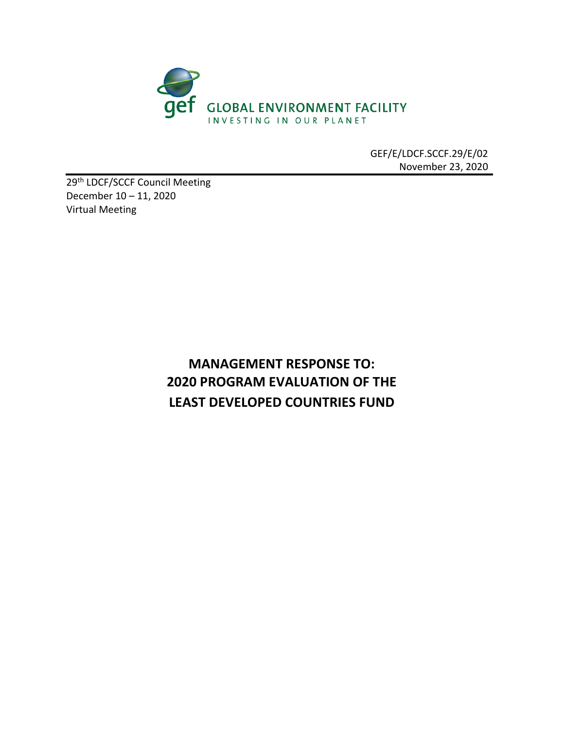

GEF/E/LDCF.SCCF.29/E/02 November 23, 2020

29<sup>th</sup> LDCF/SCCF Council Meeting December 10 – 11, 2020 Virtual Meeting

## **MANAGEMENT RESPONSE TO: 2020 PROGRAM EVALUATION OF THE LEAST DEVELOPED COUNTRIES FUND**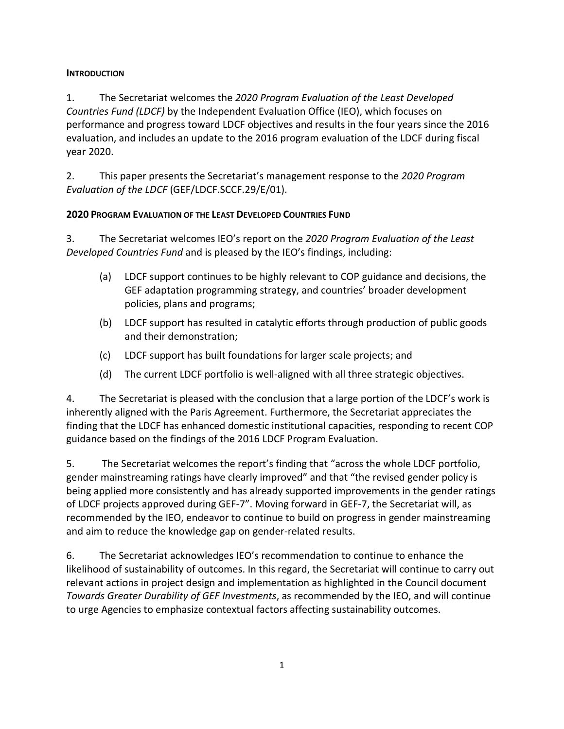## **INTRODUCTION**

1. The Secretariat welcomes the *2020 Program Evaluation of the Least Developed Countries Fund (LDCF)* by the Independent Evaluation Office (IEO), which focuses on performance and progress toward LDCF objectives and results in the four years since the 2016 evaluation, and includes an update to the 2016 program evaluation of the LDCF during fiscal year 2020.

2. This paper presents the Secretariat's management response to the *2020 Program Evaluation of the LDCF* (GEF/LDCF.SCCF.29/E/01).

## **2020 PROGRAM EVALUATION OF THE LEAST DEVELOPED COUNTRIES FUND**

3. The Secretariat welcomes IEO's report on the *2020 Program Evaluation of the Least Developed Countries Fund* and is pleased by the IEO's findings, including:

- (a) LDCF support continues to be highly relevant to COP guidance and decisions, the GEF adaptation programming strategy, and countries' broader development policies, plans and programs;
- (b) LDCF support has resulted in catalytic efforts through production of public goods and their demonstration;
- (c) LDCF support has built foundations for larger scale projects; and
- (d) The current LDCF portfolio is well-aligned with all three strategic objectives.

4. The Secretariat is pleased with the conclusion that a large portion of the LDCF's work is inherently aligned with the Paris Agreement. Furthermore, the Secretariat appreciates the finding that the LDCF has enhanced domestic institutional capacities, responding to recent COP guidance based on the findings of the 2016 LDCF Program Evaluation.

5. The Secretariat welcomes the report's finding that "across the whole LDCF portfolio, gender mainstreaming ratings have clearly improved" and that "the revised gender policy is being applied more consistently and has already supported improvements in the gender ratings of LDCF projects approved during GEF-7". Moving forward in GEF-7, the Secretariat will, as recommended by the IEO, endeavor to continue to build on progress in gender mainstreaming and aim to reduce the knowledge gap on gender-related results.

6. The Secretariat acknowledges IEO's recommendation to continue to enhance the likelihood of sustainability of outcomes. In this regard, the Secretariat will continue to carry out relevant actions in project design and implementation as highlighted in the Council document *Towards Greater Durability of GEF Investments*, as recommended by the IEO, and will continue to urge Agencies to emphasize contextual factors affecting sustainability outcomes.